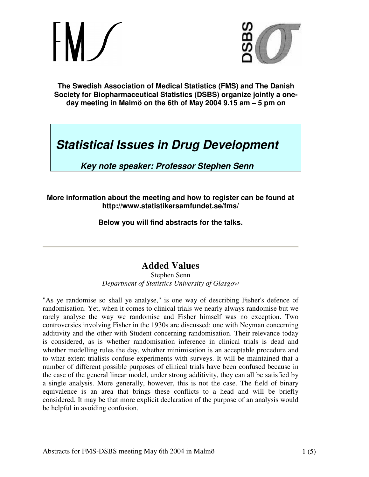

**The Swedish Association of Medical Statistics (FMS) and The Danish Society for Biopharmaceutical Statistics (DSBS) organize jointly a oneday meeting in Malmö on the 6th of May 2004 9.15 am – 5 pm on**

# *Statistical Issues in Drug Development*

*Key note speaker: Professor Stephen Senn*

#### **More information about the meeting and how to register can be found at http://www.statistikersamfundet.se/fms/**

**Below you will find abstracts for the talks.**

## **Added Values**

Stephen Senn *Department of Statistics University of Glasgow*

"As ye randomise so shall ye analyse," is one way of describing Fisher's defence of randomisation. Yet, when it comes to clinical trials we nearly always randomise but we rarely analyse the way we randomise and Fisher himself was no exception. Two controversies involving Fisher in the 1930s are discussed: one with Neyman concerning additivity and the other with Student concerning randomisation. Their relevance today is considered, as is whether randomisation inference in clinical trials is dead and whether modelling rules the day, whether minimisation is an acceptable procedure and to what extent trialists confuse experiments with surveys. It will be maintained that a number of different possible purposes of clinical trials have been confused because in the case of the general linear model, under strong additivity, they can all be satisfied by a single analysis. More generally, however, this is not the case. The field of binary equivalence is an area that brings these conflicts to a head and will be briefly considered. It may be that more explicit declaration of the purpose of an analysis would be helpful in avoiding confusion.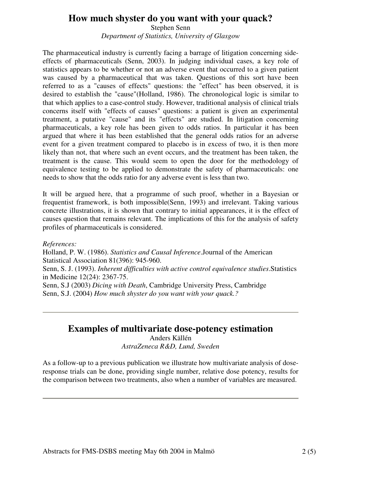## **How much shyster do you want with your quack?**

Stephen Senn *Department of Statistics, University of Glasgow*

The pharmaceutical industry is currently facing a barrage of litigation concerning sideeffects of pharmaceuticals (Senn, 2003). In judging individual cases, a key role of statistics appears to be whether or not an adverse event that occurred to a given patient was caused by a pharmaceutical that was taken. Questions of this sort have been referred to as a "causes of effects" questions: the "effect" has been observed, it is desired to establish the "cause"(Holland, 1986). The chronological logic is similar to that which applies to a case-control study. However, traditional analysis of clinical trials concerns itself with "effects of causes" questions: a patient is given an experimental treatment, a putative "cause" and its "effects" are studied. In litigation concerning pharmaceuticals, a key role has been given to odds ratios. In particular it has been argued that where it has been established that the general odds ratios for an adverse event for a given treatment compared to placebo is in excess of two, it is then more likely than not, that where such an event occurs, and the treatment has been taken, the treatment is the cause. This would seem to open the door for the methodology of equivalence testing to be applied to demonstrate the safety of pharmaceuticals: one needs to show that the odds ratio for any adverse event is less than two.

It will be argued here, that a programme of such proof, whether in a Bayesian or frequentist framework, is both impossible(Senn, 1993) and irrelevant. Taking various concrete illustrations, it is shown that contrary to initial appearances, it is the effect of causes question that remains relevant. The implications of this for the analysis of safety profiles of pharmaceuticals is considered.

#### *References:*

Holland, P. W. (1986). *Statistics and Causal Inference*.Journal of the American Statistical Association 81(396): 945-960.

Senn, S. J. (1993). *Inherent difficulties with active control equivalence studies*.Statistics in Medicine 12(24): 2367-75.

Senn, S.J (2003) *Dicing with Death*, Cambridge University Press, Cambridge Senn, S.J. (2004) *How much shyster do you want with your quack.?*

### **Examples of multivariate dose-potency estimation**

Anders Källén *AstraZeneca R&D, Lund, Sweden*

As a follow-up to a previous publication we illustrate how multivariate analysis of doseresponse trials can be done, providing single number, relative dose potency, results for the comparison between two treatments, also when a number of variables are measured.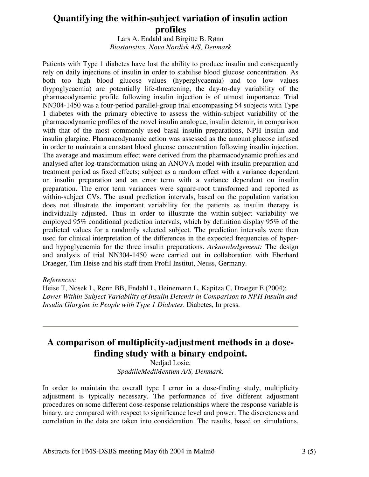## **Quantifying the within-subject variation of insulin action profiles**

Lars A. Endahl and Birgitte B. Rønn *Biostatistics, Novo Nordisk A/S, Denmark*

Patients with Type 1 diabetes have lost the ability to produce insulin and consequently rely on daily injections of insulin in order to stabilise blood glucose concentration. As both too high blood glucose values (hyperglycaemia) and too low values (hypoglycaemia) are potentially life-threatening, the day-to-day variability of the pharmacodynamic profile following insulin injection is of utmost importance. Trial NN304-1450 was a four-period parallel-group trial encompassing 54 subjects with Type 1 diabetes with the primary objective to assess the within-subject variability of the pharmacodynamic profiles of the novel insulin analogue, insulin detemir, in comparison with that of the most commonly used basal insulin preparations, NPH insulin and insulin glargine. Pharmacodynamic action was assessed as the amount glucose infused in order to maintain a constant blood glucose concentration following insulin injection. The average and maximum effect were derived from the pharmacodynamic profiles and analysed after log-transformation using an ANOVA model with insulin preparation and treatment period as fixed effects; subject as a random effect with a variance dependent on insulin preparation and an error term with a variance dependent on insulin preparation. The error term variances were square-root transformed and reported as within-subject CVs. The usual prediction intervals, based on the population variation does not illustrate the important variability for the patients as insulin therapy is individually adjusted. Thus in order to illustrate the within-subject variability we employed 95% conditional prediction intervals, which by definition display 95% of the predicted values for a randomly selected subject. The prediction intervals were then used for clinical interpretation of the differences in the expected frequencies of hyperand hypoglycaemia for the three insulin preparations. *Acknowledgement:* The design and analysis of trial NN304-1450 were carried out in collaboration with Eberhard Draeger, Tim Heise and his staff from Profil Institut, Neuss, Germany.

#### *References:*

Heise T, Nosek L, Rønn BB, Endahl L, Heinemann L, Kapitza C, Draeger E (2004): *Lower Within-Subject Variability of Insulin Detemir in Comparison to NPH Insulin and Insulin Glargine in People with Type 1 Diabetes*. Diabetes, In press.

## **A comparison of multiplicity-adjustment methods in a dosefinding study with a binary endpoint.**

Nedjad Losic, *SpadilleMediMentum A/S, Denmark.*

In order to maintain the overall type I error in a dose-finding study, multiplicity adjustment is typically necessary. The performance of five different adjustment procedures on some different dose-response relationships where the response variable is binary, are compared with respect to significance level and power. The discreteness and correlation in the data are taken into consideration. The results, based on simulations,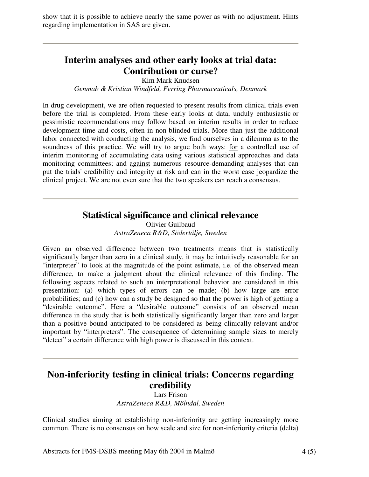show that it is possible to achieve nearly the same power as with no adjustment. Hints regarding implementation in SAS are given.

## **Interim analyses and other early looks at trial data: Contribution or curse?**

Kim Mark Knudsen

*Genmab & Kristian Windfeld, Ferring Pharmaceuticals, Denmark*

In drug development, we are often requested to present results from clinical trials even before the trial is completed. From these early looks at data, unduly enthusiastic or pessimistic recommendations may follow based on interim results in order to reduce development time and costs, often in non-blinded trials. More than just the additional labor connected with conducting the analysis, we find ourselves in a dilemma as to the soundness of this practice. We will try to argue both ways: for a controlled use of interim monitoring of accumulating data using various statistical approaches and data monitoring committees; and against numerous resource-demanding analyses that can put the trials' credibility and integrity at risk and can in the worst case jeopardize the clinical project. We are not even sure that the two speakers can reach a consensus.

#### **Statistical significance and clinical relevance**

Olivier Guilbaud *AstraZeneca R&D, Södertälje, Sweden*

Given an observed difference between two treatments means that is statistically significantly larger than zero in a clinical study, it may be intuitively reasonable for an "interpreter" to look at the magnitude of the point estimate, i.e. of the observed mean difference, to make a judgment about the clinical relevance of this finding. The following aspects related to such an interpretational behavior are considered in this presentation: (a) which types of errors can be made; (b) how large are error probabilities; and (c) how can a study be designed so that the power is high of getting a "desirable outcome". Here a "desirable outcome" consists of an observed mean difference in the study that is both statistically significantly larger than zero and larger than a positive bound anticipated to be considered as being clinically relevant and/or important by "interpreters". The consequence of determining sample sizes to merely "detect" a certain difference with high power is discussed in this context.

## **Non-inferiority testing in clinical trials: Concerns regarding credibility**

Lars Frison *AstraZeneca R&D, Mölndal, Sweden*

Clinical studies aiming at establishing non-inferiority are getting increasingly more common. There is no consensus on how scale and size for non-inferiority criteria (delta)